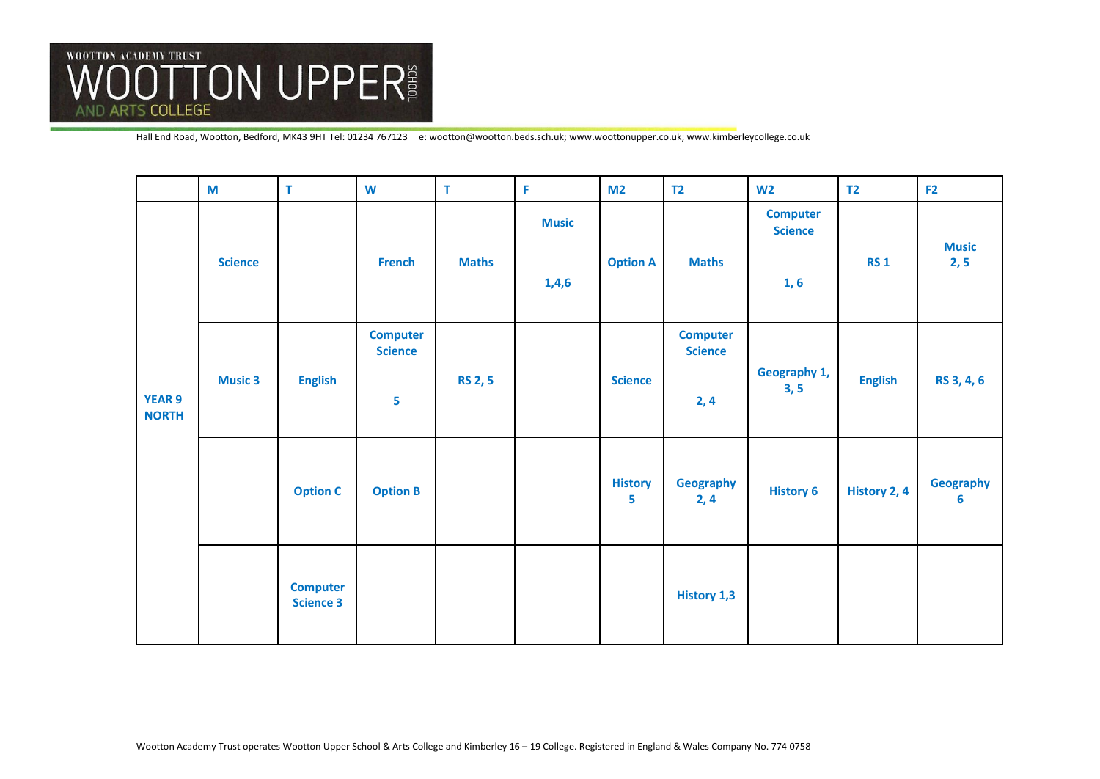

|                               | M              | T                                   | W                                      | $\mathsf T$    | F                     | M <sub>2</sub>      | <b>T2</b>                                | W <sub>2</sub>                            | T <sub>2</sub> | F <sub>2</sub>       |
|-------------------------------|----------------|-------------------------------------|----------------------------------------|----------------|-----------------------|---------------------|------------------------------------------|-------------------------------------------|----------------|----------------------|
| <b>YEAR 9</b><br><b>NORTH</b> | <b>Science</b> |                                     | <b>French</b>                          | <b>Maths</b>   | <b>Music</b><br>1,4,6 | <b>Option A</b>     | <b>Maths</b>                             | <b>Computer</b><br><b>Science</b><br>1, 6 | <b>RS 1</b>    | <b>Music</b><br>2, 5 |
|                               | <b>Music 3</b> | <b>English</b>                      | <b>Computer</b><br><b>Science</b><br>5 | <b>RS 2, 5</b> |                       | <b>Science</b>      | <b>Computer</b><br><b>Science</b><br>2,4 | Geography 1,<br>3, 5                      | <b>English</b> | RS 3, 4, 6           |
|                               |                | <b>Option C</b>                     | <b>Option B</b>                        |                |                       | <b>History</b><br>5 | Geography<br>2, 4                        | <b>History 6</b>                          | History 2, 4   | Geography<br>6       |
|                               |                | <b>Computer</b><br><b>Science 3</b> |                                        |                |                       |                     | <b>History 1,3</b>                       |                                           |                |                      |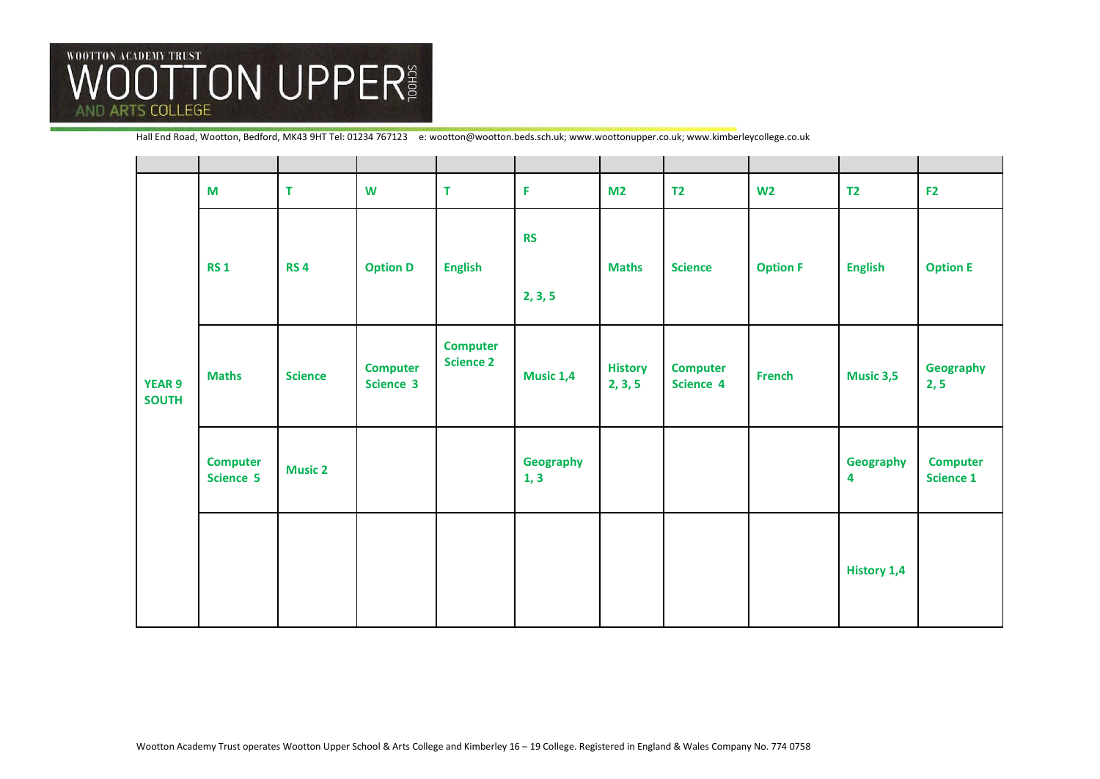

| <b>YEAR 9</b><br><b>SOUTH</b> | M                            | T              | W                            | T                                   | F                    | M <sub>2</sub>            | T <sub>2</sub>               | W <sub>2</sub>  | T <sub>2</sub>     | F <sub>2</sub>                      |
|-------------------------------|------------------------------|----------------|------------------------------|-------------------------------------|----------------------|---------------------------|------------------------------|-----------------|--------------------|-------------------------------------|
|                               | <b>RS1</b>                   | <b>RS4</b>     | <b>Option D</b>              | <b>English</b>                      | <b>RS</b><br>2, 3, 5 | <b>Maths</b>              | <b>Science</b>               | <b>Option F</b> | <b>English</b>     | <b>Option E</b>                     |
|                               | <b>Maths</b>                 | <b>Science</b> | <b>Computer</b><br>Science 3 | <b>Computer</b><br><b>Science 2</b> | Music 1,4            | <b>History</b><br>2, 3, 5 | <b>Computer</b><br>Science 4 | <b>French</b>   | <b>Music 3,5</b>   | Geography<br>2, 5                   |
|                               | <b>Computer</b><br>Science 5 | <b>Music 2</b> |                              |                                     | Geography<br>1, 3    |                           |                              |                 | Geography<br>4     | <b>Computer</b><br><b>Science 1</b> |
|                               |                              |                |                              |                                     |                      |                           |                              |                 | <b>History 1,4</b> |                                     |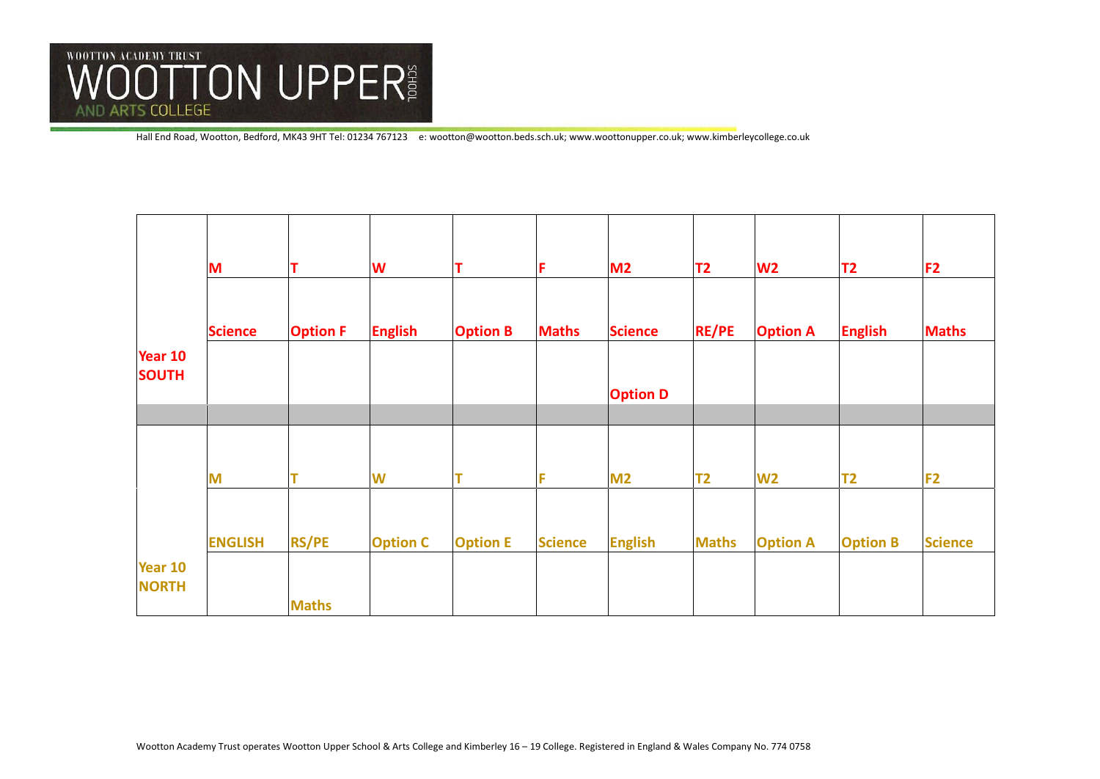

|                         | M              | т               | W               | Т               | F              | M <sub>2</sub>  | T <sub>2</sub> | W <sub>2</sub>  | T2              | F <sub>2</sub> |
|-------------------------|----------------|-----------------|-----------------|-----------------|----------------|-----------------|----------------|-----------------|-----------------|----------------|
|                         |                |                 |                 |                 |                |                 |                |                 |                 |                |
|                         | <b>Science</b> | <b>Option F</b> | <b>English</b>  | <b>Option B</b> | <b>Maths</b>   | <b>Science</b>  | <b>RE/PE</b>   | <b>Option A</b> | <b>English</b>  | <b>Maths</b>   |
| Year 10<br><b>SOUTH</b> |                |                 |                 |                 |                |                 |                |                 |                 |                |
|                         |                |                 |                 |                 |                | <b>Option D</b> |                |                 |                 |                |
|                         |                |                 |                 |                 |                |                 |                |                 |                 |                |
|                         |                |                 |                 |                 |                |                 |                |                 |                 |                |
|                         | M              | т               | W               |                 | F              | M <sub>2</sub>  | <b>T2</b>      | W <sub>2</sub>  | T2              | F <sub>2</sub> |
|                         |                |                 |                 |                 |                |                 |                |                 |                 |                |
|                         | <b>ENGLISH</b> | <b>RS/PE</b>    | <b>Option C</b> | <b>Option E</b> | <b>Science</b> | <b>English</b>  | <b>Maths</b>   | <b>Option A</b> | <b>Option B</b> | <b>Science</b> |
| Year 10                 |                |                 |                 |                 |                |                 |                |                 |                 |                |
| <b>NORTH</b>            |                |                 |                 |                 |                |                 |                |                 |                 |                |
|                         |                | <b>Maths</b>    |                 |                 |                |                 |                |                 |                 |                |